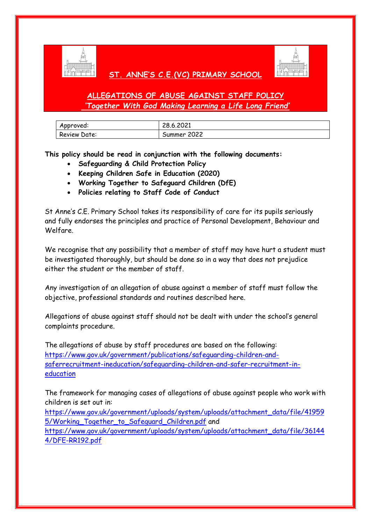

# **ST. ANNE'S C.E.(VC) PRIMARY SCHOOL**



# **ALLEGATIONS OF ABUSE AGAINST STAFF POLICY** *'Together With God Making Learning a Life Long Friend'*

| Approved:           | 28.6.2021   |
|---------------------|-------------|
| <b>Review Date:</b> | Summer 2022 |

**This policy should be read in conjunction with the following documents:**

- **Safeguarding & Child Protection Policy**
- **Keeping Children Safe in Education (2020)**
- **Working Together to Safeguard Children (DfE)**
- **Policies relating to Staff Code of Conduct**

St Anne's C.E. Primary School takes its responsibility of care for its pupils seriously and fully endorses the principles and practice of Personal Development, Behaviour and Welfare.

We recognise that any possibility that a member of staff may have hurt a student must be investigated thoroughly, but should be done so in a way that does not prejudice either the student or the member of staff.

Any investigation of an allegation of abuse against a member of staff must follow the objective, professional standards and routines described here.

Allegations of abuse against staff should not be dealt with under the school's general complaints procedure.

The allegations of abuse by staff procedures are based on the following: [https://www.gov.uk/government/publications/safeguarding-children-and](https://www.gov.uk/government/publications/safeguarding-children-and-saferrecruitment-ineducation/safeguarding-children-and-safer-recruitment-in-education)[saferrecruitment-ineducation/safeguarding-children-and-safer-recruitment-in](https://www.gov.uk/government/publications/safeguarding-children-and-saferrecruitment-ineducation/safeguarding-children-and-safer-recruitment-in-education)[education](https://www.gov.uk/government/publications/safeguarding-children-and-saferrecruitment-ineducation/safeguarding-children-and-safer-recruitment-in-education)

The framework for managing cases of allegations of abuse against people who work with children is set out in:

[https://www.gov.uk/government/uploads/system/uploads/attachment\\_data/file/41959](https://www.gov.uk/government/uploads/system/uploads/attachment_data/file/419595/Working_Together_to_Safeguard_Children.pdf) [5/Working\\_Together\\_to\\_Safeguard\\_Children.pdf](https://www.gov.uk/government/uploads/system/uploads/attachment_data/file/419595/Working_Together_to_Safeguard_Children.pdf) and [https://www.gov.uk/government/uploads/system/uploads/attachment\\_data/file/36144](https://www.gov.uk/government/uploads/system/uploads/attachment_data/file/36144%204/DFE-RR192.pdf)  [4/DFE-RR192.pdf](https://www.gov.uk/government/uploads/system/uploads/attachment_data/file/36144%204/DFE-RR192.pdf)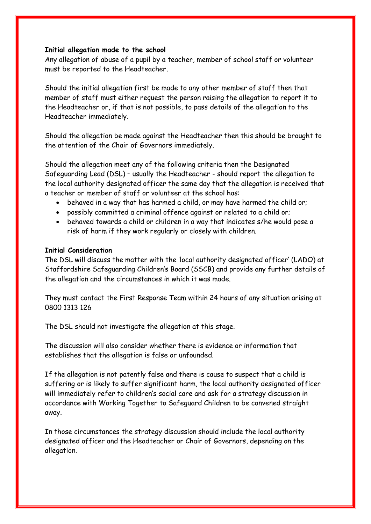### **Initial allegation made to the school**

Any allegation of abuse of a pupil by a teacher, member of school staff or volunteer must be reported to the Headteacher.

Should the initial allegation first be made to any other member of staff then that member of staff must either request the person raising the allegation to report it to the Headteacher or, if that is not possible, to pass details of the allegation to the Headteacher immediately.

Should the allegation be made against the Headteacher then this should be brought to the attention of the Chair of Governors immediately.

Should the allegation meet any of the following criteria then the Designated Safeguarding Lead (DSL) – usually the Headteacher - should report the allegation to the local authority designated officer the same day that the allegation is received that a teacher or member of staff or volunteer at the school has:

- behaved in a way that has harmed a child, or may have harmed the child or;
- possibly committed a criminal offence against or related to a child or;
- behaved towards a child or children in a way that indicates s/he would pose a risk of harm if they work regularly or closely with children.

#### **Initial Consideration**

The DSL will discuss the matter with the 'local authority designated officer' (LADO) at Staffordshire Safeguarding Children's Board (SSCB) and provide any further details of the allegation and the circumstances in which it was made.

They must contact the First Response Team within 24 hours of any situation arising at 0800 1313 126

The DSL should not investigate the allegation at this stage.

The discussion will also consider whether there is evidence or information that establishes that the allegation is false or unfounded.

If the allegation is not patently false and there is cause to suspect that a child is suffering or is likely to suffer significant harm, the local authority designated officer will immediately refer to children's social care and ask for a strategy discussion in accordance with Working Together to Safeguard Children to be convened straight away.

In those circumstances the strategy discussion should include the local authority designated officer and the Headteacher or Chair of Governors, depending on the allegation.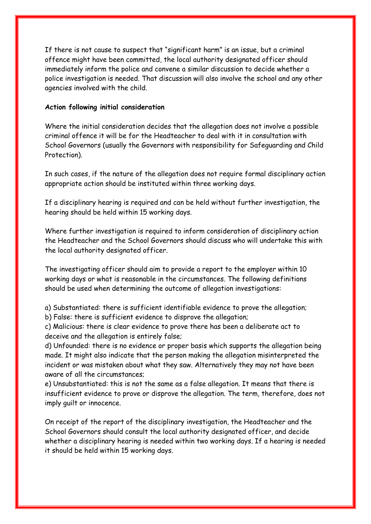If there is not cause to suspect that "significant harm" is an issue, but a criminal offence might have been committed, the local authority designated officer should immediately inform the police and convene a similar discussion to decide whether a police investigation is needed. That discussion will also involve the school and any other agencies involved with the child.

## **Action following initial consideration**

Where the initial consideration decides that the allegation does not involve a possible criminal offence it will be for the Headteacher to deal with it in consultation with School Governors (usually the Governors with responsibility for Safeguarding and Child Protection).

In such cases, if the nature of the allegation does not require formal disciplinary action appropriate action should be instituted within three working days.

If a disciplinary hearing is required and can be held without further investigation, the hearing should be held within 15 working days.

Where further investigation is required to inform consideration of disciplinary action the Headteacher and the School Governors should discuss who will undertake this with the local authority designated officer.

The investigating officer should aim to provide a report to the employer within 10 working days or what is reasonable in the circumstances. The following definitions should be used when determining the outcome of allegation investigations:

a) Substantiated: there is sufficient identifiable evidence to prove the allegation; b) False: there is sufficient evidence to disprove the allegation;

c) Malicious: there is clear evidence to prove there has been a deliberate act to deceive and the allegation is entirely false;

d) Unfounded: there is no evidence or proper basis which supports the allegation being made. It might also indicate that the person making the allegation misinterpreted the incident or was mistaken about what they saw. Alternatively they may not have been aware of all the circumstances;

e) Unsubstantiated: this is not the same as a false allegation. It means that there is insufficient evidence to prove or disprove the allegation. The term, therefore, does not imply guilt or innocence.

On receipt of the report of the disciplinary investigation, the Headteacher and the School Governors should consult the local authority designated officer, and decide whether a disciplinary hearing is needed within two working days. If a hearing is needed it should be held within 15 working days.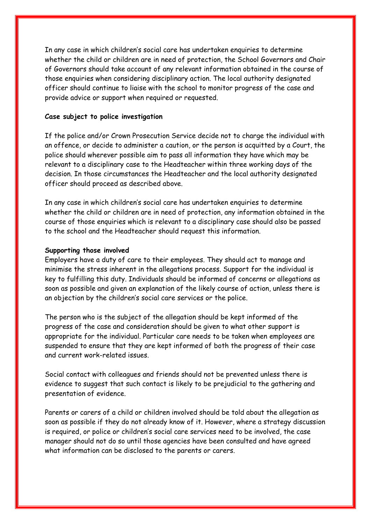In any case in which children's social care has undertaken enquiries to determine whether the child or children are in need of protection, the School Governors and Chair of Governors should take account of any relevant information obtained in the course of those enquiries when considering disciplinary action. The local authority designated officer should continue to liaise with the school to monitor progress of the case and provide advice or support when required or requested.

### **Case subject to police investigation**

If the police and/or Crown Prosecution Service decide not to charge the individual with an offence, or decide to administer a caution, or the person is acquitted by a Court, the police should wherever possible aim to pass all information they have which may be relevant to a disciplinary case to the Headteacher within three working days of the decision. In those circumstances the Headteacher and the local authority designated officer should proceed as described above.

In any case in which children's social care has undertaken enquiries to determine whether the child or children are in need of protection, any information obtained in the course of those enquiries which is relevant to a disciplinary case should also be passed to the school and the Headteacher should request this information.

#### **Supporting those involved**

Employers have a duty of care to their employees. They should act to manage and minimise the stress inherent in the allegations process. Support for the individual is key to fulfilling this duty. Individuals should be informed of concerns or allegations as soon as possible and given an explanation of the likely course of action, unless there is an objection by the children's social care services or the police.

The person who is the subject of the allegation should be kept informed of the progress of the case and consideration should be given to what other support is appropriate for the individual. Particular care needs to be taken when employees are suspended to ensure that they are kept informed of both the progress of their case and current work-related issues.

Social contact with colleagues and friends should not be prevented unless there is evidence to suggest that such contact is likely to be prejudicial to the gathering and presentation of evidence.

Parents or carers of a child or children involved should be told about the allegation as soon as possible if they do not already know of it. However, where a strategy discussion is required, or police or children's social care services need to be involved, the case manager should not do so until those agencies have been consulted and have agreed what information can be disclosed to the parents or carers.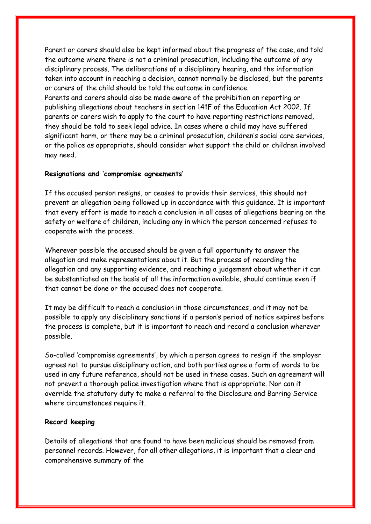Parent or carers should also be kept informed about the progress of the case, and told the outcome where there is not a criminal prosecution, including the outcome of any disciplinary process. The deliberations of a disciplinary hearing, and the information taken into account in reaching a decision, cannot normally be disclosed, but the parents or carers of the child should be told the outcome in confidence.

Parents and carers should also be made aware of the prohibition on reporting or publishing allegations about teachers in section 141F of the Education Act 2002. If parents or carers wish to apply to the court to have reporting restrictions removed, they should be told to seek legal advice. In cases where a child may have suffered significant harm, or there may be a criminal prosecution, children's social care services, or the police as appropriate, should consider what support the child or children involved may need.

#### **Resignations and 'compromise agreements'**

If the accused person resigns, or ceases to provide their services, this should not prevent an allegation being followed up in accordance with this guidance. It is important that every effort is made to reach a conclusion in all cases of allegations bearing on the safety or welfare of children, including any in which the person concerned refuses to cooperate with the process.

Wherever possible the accused should be given a full opportunity to answer the allegation and make representations about it. But the process of recording the allegation and any supporting evidence, and reaching a judgement about whether it can be substantiated on the basis of all the information available, should continue even if that cannot be done or the accused does not cooperate.

It may be difficult to reach a conclusion in those circumstances, and it may not be possible to apply any disciplinary sanctions if a person's period of notice expires before the process is complete, but it is important to reach and record a conclusion wherever possible.

So-called 'compromise agreements', by which a person agrees to resign if the employer agrees not to pursue disciplinary action, and both parties agree a form of words to be used in any future reference, should not be used in these cases. Such an agreement will not prevent a thorough police investigation where that is appropriate. Nor can it override the statutory duty to make a referral to the Disclosure and Barring Service where circumstances require it.

### **Record keeping**

Details of allegations that are found to have been malicious should be removed from personnel records. However, for all other allegations, it is important that a clear and comprehensive summary of the